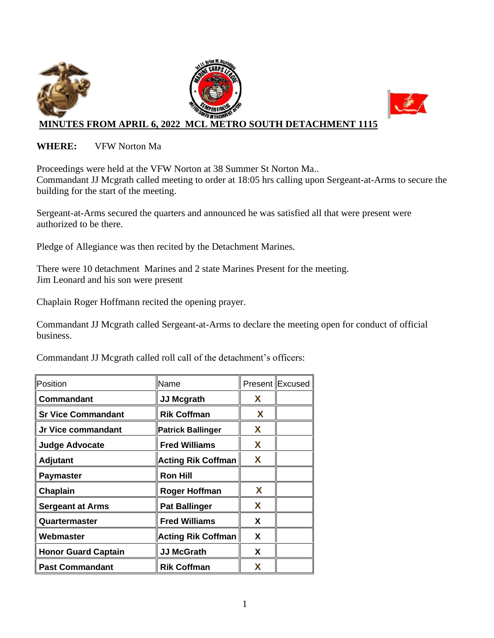

#### **WHERE:** VFW Norton Ma

Proceedings were held at the VFW Norton at 38 Summer St Norton Ma.. Commandant JJ Mcgrath called meeting to order at 18:05 hrs calling upon Sergeant-at-Arms to secure the building for the start of the meeting.

Sergeant-at-Arms secured the quarters and announced he was satisfied all that were present were authorized to be there.

Pledge of Allegiance was then recited by the Detachment Marines.

There were 10 detachment Marines and 2 state Marines Present for the meeting. Jim Leonard and his son were present

Chaplain Roger Hoffmann recited the opening prayer.

Commandant JJ Mcgrath called Sergeant-at-Arms to declare the meeting open for conduct of official business.

Commandant JJ Mcgrath called roll call of the detachment's officers:

| Position                   | Name                      |   | Present Excused |
|----------------------------|---------------------------|---|-----------------|
| Commandant                 | <b>JJ Mcgrath</b>         | X |                 |
| <b>Sr Vice Commandant</b>  | <b>Rik Coffman</b>        | X |                 |
| Jr Vice commandant         | <b>Patrick Ballinger</b>  | X |                 |
| <b>Judge Advocate</b>      | <b>Fred Williams</b>      | X |                 |
| <b>Adjutant</b>            | <b>Acting Rik Coffman</b> | X |                 |
| <b>Paymaster</b>           | <b>Ron Hill</b>           |   |                 |
| Chaplain                   | <b>Roger Hoffman</b>      | X |                 |
| <b>Sergeant at Arms</b>    | <b>Pat Ballinger</b>      | X |                 |
| Quartermaster              | <b>Fred Williams</b>      | X |                 |
| Webmaster                  | <b>Acting Rik Coffman</b> | X |                 |
| <b>Honor Guard Captain</b> | <b>JJ McGrath</b>         | X |                 |
| <b>Past Commandant</b>     | <b>Rik Coffman</b>        | x |                 |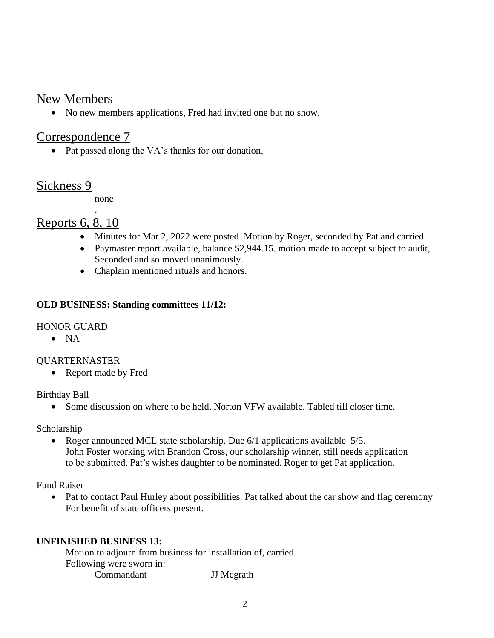## New Members

• No new members applications, Fred had invited one but no show.

## Correspondence 7

• Pat passed along the VA's thanks for our donation.

## Sickness 9

none

.

# Reports 6, 8, 10

- Minutes for Mar 2, 2022 were posted. Motion by Roger, seconded by Pat and carried.
- Paymaster report available, balance \$2,944.15. motion made to accept subject to audit, Seconded and so moved unanimously.
- Chaplain mentioned rituals and honors.

### **OLD BUSINESS: Standing committees 11/12:**

### HONOR GUARD

• NA

### QUARTERNASTER

• Report made by Fred

### Birthday Ball

• Some discussion on where to be held. Norton VFW available. Tabled till closer time.

#### **Scholarship**

• Roger announced MCL state scholarship. Due 6/1 applications available 5/5. John Foster working with Brandon Cross, our scholarship winner, still needs application to be submitted. Pat's wishes daughter to be nominated. Roger to get Pat application.

### Fund Raiser

• Pat to contact Paul Hurley about possibilities. Pat talked about the car show and flag ceremony For benefit of state officers present.

### **UNFINISHED BUSINESS 13:**

Motion to adjourn from business for installation of, carried. Following were sworn in: Commandant JJ Mcgrath